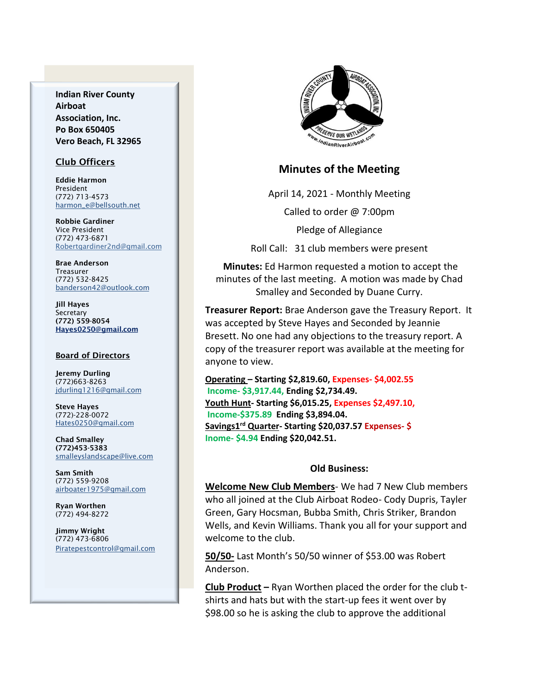**Indian River County Airboat Association, Inc. Po Box 650405 Vero Beach, FL 32965**

#### Club Officers

Eddie Harmon President (772) 713-4573 [harmon\\_e@bellsouth.net](mailto:dougflood772@aol.com)

Robbie Gardiner Vice President (772) 473-6871 [Robertgardiner2nd@gmail.com](mailto:Robertgardiner2nd@gmail.com)

Brae Anderson Treasurer (772) 532-8425 [banderson42@outlook.com](mailto:banderson42@outlook.com)

Jill Hayes Secretary (772) 559-8054 Hayes0250@gmail.com

#### Board of Directors

Jeremy Durling (772)663-8263 [jdurling1216@gmail.com](mailto:shufamil@peoplepc.com)

Steve Hayes (772)-228-0072 Hates0250@gmail.com

Chad Smalley (772)453-5383 smalleyslandscape@live.com

Sam Smith (772) 559-9208 [airboater1975@gmail.com](mailto:Airboater22@gmail.com)

Ryan Worthen (772) 494-8272

Jimmy Wright (772) 473-6806 Piratepestcontrol@gmail.com



## **Minutes of the Meeting**

April 14, 2021 - Monthly Meeting

Called to order @ 7:00pm

Pledge of Allegiance

Roll Call: 31 club members were present

**Minutes:** Ed Harmon requested a motion to accept the minutes of the last meeting. A motion was made by Chad Smalley and Seconded by Duane Curry.

**Treasurer Report:** Brae Anderson gave the Treasury Report. It was accepted by Steve Hayes and Seconded by Jeannie Bresett. No one had any objections to the treasury report. A copy of the treasurer report was available at the meeting for anyone to view.

**Operating – Starting \$2,819.60, Expenses- \$4,002.55 Income- \$3,917.44, Ending \$2,734.49. Youth Hunt- Starting \$6,015.25, Expenses \$2,497.10, Income-\$375.89 Ending \$3,894.04. Savings1 rd Quarter- Starting \$20,037.57 Expenses- \$ Inome- \$4.94 Ending \$20,042.51.**

#### **Old Business:**

**Welcome New Club Members**- We had 7 New Club members who all joined at the Club Airboat Rodeo- Cody Dupris, Tayler Green, Gary Hocsman, Bubba Smith, Chris Striker, Brandon Wells, and Kevin Williams. Thank you all for your support and welcome to the club.

**50/50-** Last Month's 50/50 winner of \$53.00 was Robert Anderson.

**Club Product –** Ryan Worthen placed the order for the club tshirts and hats but with the start-up fees it went over by \$98.00 so he is asking the club to approve the additional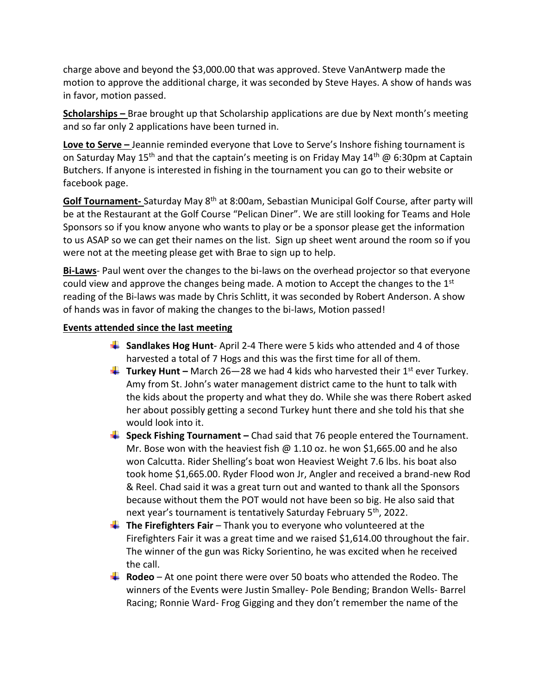charge above and beyond the \$3,000.00 that was approved. Steve VanAntwerp made the motion to approve the additional charge, it was seconded by Steve Hayes. A show of hands was in favor, motion passed.

**Scholarships –** Brae brought up that Scholarship applications are due by Next month's meeting and so far only 2 applications have been turned in.

**Love to Serve -** Jeannie reminded everyone that Love to Serve's Inshore fishing tournament is on Saturday May 15<sup>th</sup> and that the captain's meeting is on Friday May 14<sup>th</sup> @ 6:30pm at Captain Butchers. If anyone is interested in fishing in the tournament you can go to their website or facebook page.

**Golf Tournament-** Saturday May 8th at 8:00am, Sebastian Municipal Golf Course, after party will be at the Restaurant at the Golf Course "Pelican Diner". We are still looking for Teams and Hole Sponsors so if you know anyone who wants to play or be a sponsor please get the information to us ASAP so we can get their names on the list. Sign up sheet went around the room so if you were not at the meeting please get with Brae to sign up to help.

**Bi-Laws**- Paul went over the changes to the bi-laws on the overhead projector so that everyone could view and approve the changes being made. A motion to Accept the changes to the  $1<sup>st</sup>$ reading of the Bi-laws was made by Chris Schlitt, it was seconded by Robert Anderson. A show of hands was in favor of making the changes to the bi-laws, Motion passed!

## **Events attended since the last meeting**

- **Sandlakes Hog Hunt** April 2-4 There were 5 kids who attended and 4 of those harvested a total of 7 Hogs and this was the first time for all of them.
- **Turkey Hunt –** March 26–28 we had 4 kids who harvested their 1<sup>st</sup> ever Turkey. Amy from St. John's water management district came to the hunt to talk with the kids about the property and what they do. While she was there Robert asked her about possibly getting a second Turkey hunt there and she told his that she would look into it.
- **Speck Fishing Tournament** Chad said that 76 people entered the Tournament. Mr. Bose won with the heaviest fish  $\omega$  1.10 oz. he won \$1,665.00 and he also won Calcutta. Rider Shelling's boat won Heaviest Weight 7.6 lbs. his boat also took home \$1,665.00. Ryder Flood won Jr, Angler and received a brand-new Rod & Reel. Chad said it was a great turn out and wanted to thank all the Sponsors because without them the POT would not have been so big. He also said that next year's tournament is tentatively Saturday February 5<sup>th</sup>, 2022.
- **The Firefighters Fair** Thank you to everyone who volunteered at the Firefighters Fair it was a great time and we raised \$1,614.00 throughout the fair. The winner of the gun was Ricky Sorientino, he was excited when he received the call.
- **Rodeo**  At one point there were over 50 boats who attended the Rodeo. The winners of the Events were Justin Smalley- Pole Bending; Brandon Wells- Barrel Racing; Ronnie Ward- Frog Gigging and they don't remember the name of the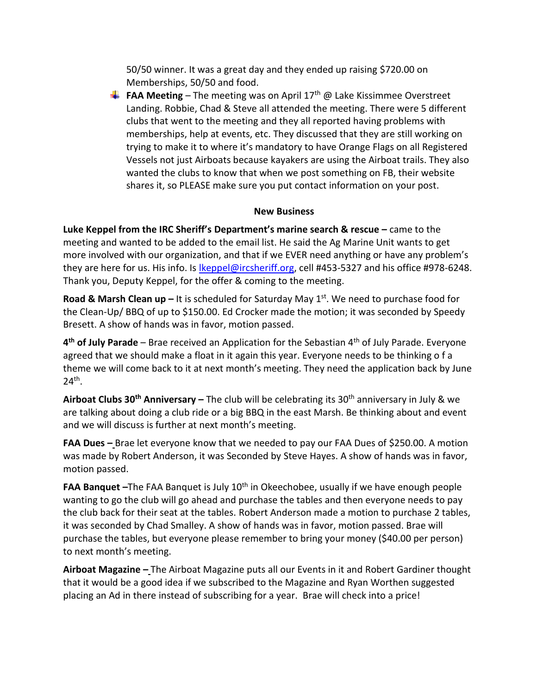50/50 winner. It was a great day and they ended up raising \$720.00 on Memberships, 50/50 and food.

**FAA Meeting** – The meeting was on April 17<sup>th</sup>  $\omega$  Lake Kissimmee Overstreet Landing. Robbie, Chad & Steve all attended the meeting. There were 5 different clubs that went to the meeting and they all reported having problems with memberships, help at events, etc. They discussed that they are still working on trying to make it to where it's mandatory to have Orange Flags on all Registered Vessels not just Airboats because kayakers are using the Airboat trails. They also wanted the clubs to know that when we post something on FB, their website shares it, so PLEASE make sure you put contact information on your post.

## **New Business**

**Luke Keppel from the IRC Sheriff's Department's marine search & rescue –** came to the meeting and wanted to be added to the email list. He said the Ag Marine Unit wants to get more involved with our organization, and that if we EVER need anything or have any problem's they are here for us. His info. Is Ikeppel@ircsheriff.org, cell #453-5327 and his office #978-6248. Thank you, Deputy Keppel, for the offer & coming to the meeting.

**Road & Marsh Clean up –** It is scheduled for Saturday May 1<sup>st</sup>. We need to purchase food for the Clean-Up/ BBQ of up to \$150.00. Ed Crocker made the motion; it was seconded by Speedy Bresett. A show of hands was in favor, motion passed.

**4 th of July Parade** – Brae received an Application for the Sebastian 4th of July Parade. Everyone agreed that we should make a float in it again this year. Everyone needs to be thinking o f a theme we will come back to it at next month's meeting. They need the application back by June  $24<sup>th</sup>$ .

**Airboat Clubs 30th Anniversary –** The club will be celebrating its 30th anniversary in July & we are talking about doing a club ride or a big BBQ in the east Marsh. Be thinking about and event and we will discuss is further at next month's meeting.

**FAA Dues –** Brae let everyone know that we needed to pay our FAA Dues of \$250.00. A motion was made by Robert Anderson, it was Seconded by Steve Hayes. A show of hands was in favor, motion passed.

**FAA Banquet** -The FAA Banquet is July 10<sup>th</sup> in Okeechobee, usually if we have enough people wanting to go the club will go ahead and purchase the tables and then everyone needs to pay the club back for their seat at the tables. Robert Anderson made a motion to purchase 2 tables, it was seconded by Chad Smalley. A show of hands was in favor, motion passed. Brae will purchase the tables, but everyone please remember to bring your money (\$40.00 per person) to next month's meeting.

**Airboat Magazine –** The Airboat Magazine puts all our Events in it and Robert Gardiner thought that it would be a good idea if we subscribed to the Magazine and Ryan Worthen suggested placing an Ad in there instead of subscribing for a year. Brae will check into a price!